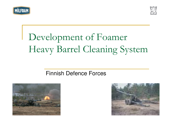



#### Deve lopment of Foamer Heavy Barrel Cleaning Syste  ${\rm m}$

### Finnish Defence Forces



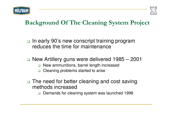



# Background Of The Cleaning System Project

- □ In early 90's new conscript training program reduces the time for maintenance
- New Artillery guns were delivered 1985 2001
	- $\Box$ New ammunitions, barrel length increased
	- $\Box$ Cleaning problems started to arise
- $\Box$  The need for better cleaning and cost saving methods increased
	- $\Box$ Demands for cleaning system was launched 1998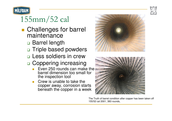



# 155mm/52 cal

- **Challenges for barrel** maintenance
	- □ Barrel length
	- □ Triple based powders
	- Less soldiers in crew
	- □ Coppering increasing
		- Even 250 rounds can make the barrel dimension too small for the inspection tool
		- Crew is unable to take the copper away, corrosion starts beneath the copper in <sup>a</sup> week





The Truth of barrel condition after copper has been taken off 155/52 cal 2001, 383 rounds,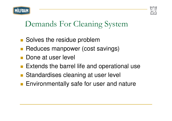



#### Demands For Cleaning Syste  ${\rm m}$

- **Solves the residue problem**
- **Reduces manpower (cost savings)**
- Done at user level
- **Extends the barrel life and operational use**
- **E** Standardises cleaning at user level
- **Environmentally safe for user and nature**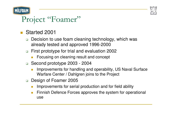



# Project "Foamer"

- Started 2001
	- □ Decision to use foam cleaning technology, which was already tested and approved 1996-2000
	- First prototype for trial and evaluation 2002
		- -Focusing on cleaning result and concept
	- Second prototype 2003 2004
		- - Improvements for handling and operability, US Naval Surface Warfare Center / Dahlgren joins to the Project
	- □ Design of Foamer 2005
		- -Improvements for serial production and for field ability
		- - Finnish Defence Forces approves the system for operational use